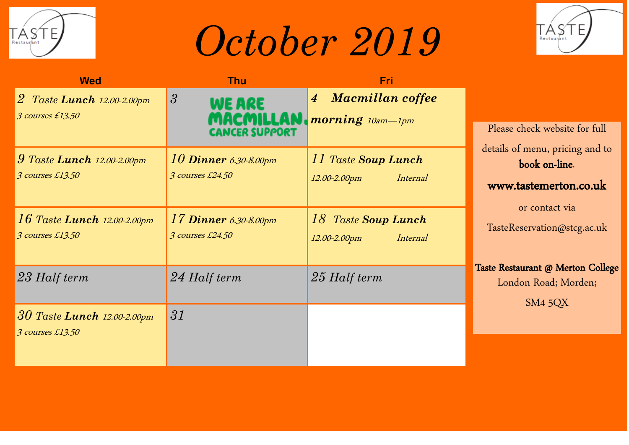

## *October 2019*



| <b>Wed</b>                                           | <b>Thu</b>                                       | <b>Fri</b>                                                                            |                                                                                                                            |
|------------------------------------------------------|--------------------------------------------------|---------------------------------------------------------------------------------------|----------------------------------------------------------------------------------------------------------------------------|
| $2$ Taste Lunch $12.00-2.00$ pm<br>3 courses £13.50  | 3 <br><b>WE ARE</b><br>NCER SUPPORT              | <b>Macmillan coffee</b><br>$\overline{4}$<br><b>MACMILLAN</b> <i>morning 10am-1pm</i> | Please check website for full                                                                                              |
| $9$ Taste Lunch $12.00-2.00$ pm<br>3 courses £13.50  | 10 <b>Dinner</b> 6.30-8.00pm<br>3 courses £24.50 | 11 Taste Soup Lunch<br>Internal<br>12.00-2.00pm                                       | details of menu, pricing and to<br>book on-line.<br>www.tastemerton.co.uk<br>or contact via<br>TasteReservation@stcg.ac.uk |
| $16$ Taste Lunch $12.00-2.00$ pm<br>3 courses £13.50 | $17$ Dinner 6.30-8.00pm<br>3 courses £24.50      | 18 Taste Soup Lunch<br>12.00-2.00pm<br>Internal                                       |                                                                                                                            |
| 23 Half term                                         | 24 Half term                                     | 25 Half term                                                                          | Taste Restaurant @ Merton College<br>London Road; Morden;<br>SM4 5QX                                                       |
| $30$ Taste Lunch 12.00-2.00pm<br>3 courses £13.50    | 31                                               |                                                                                       |                                                                                                                            |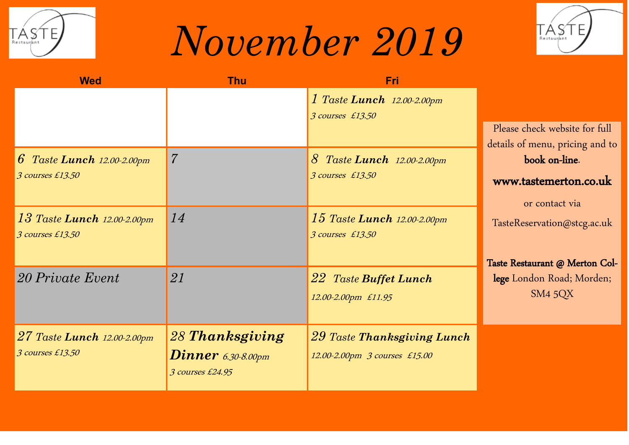

## *November 2019*



| <b>Wed</b>                                           | <b>Thu</b>                                                           | <b>Fri</b>                                                     |                                                                  |
|------------------------------------------------------|----------------------------------------------------------------------|----------------------------------------------------------------|------------------------------------------------------------------|
|                                                      |                                                                      | 1 Taste Lunch 12.00-2.00pm<br>3 courses £13.50                 | Please check website for full<br>details of menu, pricing and to |
| 6 Taste Lunch $12.00 - 2.00$ pm<br>3 courses £13.50  | 7                                                                    | 8<br>Taste Lunch 12.00-2.00pm<br>3 courses £13.50              | book on-line.<br>www.tastemerton.co.uk<br>or contact via         |
| $13$ Taste Lunch $12.00-2.00$ pm<br>3 courses £13.50 | 14                                                                   | $15$ Taste Lunch $12.00-2.00$ pm<br>3 courses £13.50           | TasteReservation@stcg.ac.uk<br>Taste Restaurant @ Merton Col-    |
| 20 Private Event                                     | 21                                                                   | 22 Taste Buffet Lunch<br>12.00-2.00pm £11.95                   | lege London Road; Morden;<br>SM4 5QX                             |
| 27 Taste Lunch 12.00-2.00pm<br>3 courses £13.50      | 28 Thanksgiving<br>$\textbf{Dinner}$ 6.30-8.00pm<br>3 courses £24.95 | $29$ Taste Thanksgiving Lunch<br>12.00-2.00pm 3 courses £15.00 |                                                                  |